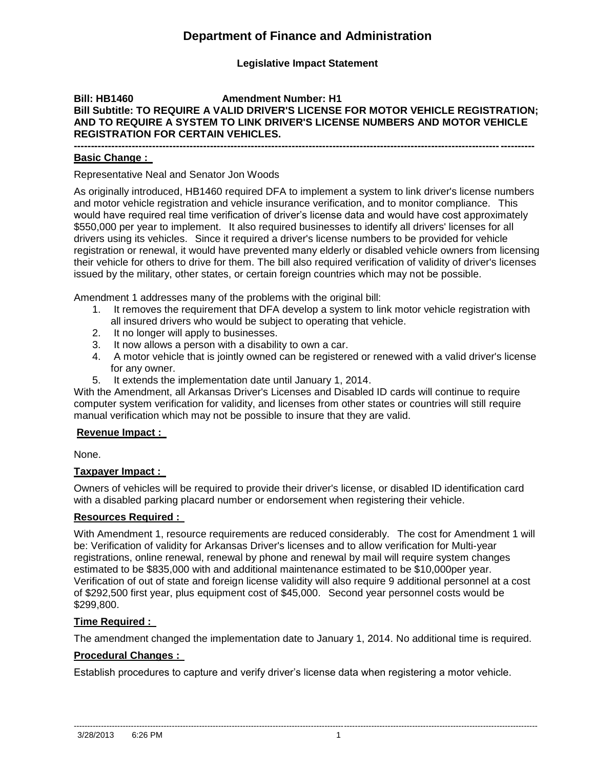# **Department of Finance and Administration**

## **Legislative Impact Statement**

## **Bill: HB1460 Amendment Number: H1 Bill Subtitle: TO REQUIRE A VALID DRIVER'S LICENSE FOR MOTOR VEHICLE REGISTRATION; AND TO REQUIRE A SYSTEM TO LINK DRIVER'S LICENSE NUMBERS AND MOTOR VEHICLE REGISTRATION FOR CERTAIN VEHICLES.**

#### **--------------------------------------------------------------------------------------------------------------------------------------- Basic Change :**

Representative Neal and Senator Jon Woods

As originally introduced, HB1460 required DFA to implement a system to link driver's license numbers and motor vehicle registration and vehicle insurance verification, and to monitor compliance. This would have required real time verification of driver's license data and would have cost approximately \$550,000 per year to implement. It also required businesses to identify all drivers' licenses for all drivers using its vehicles. Since it required a driver's license numbers to be provided for vehicle registration or renewal, it would have prevented many elderly or disabled vehicle owners from licensing their vehicle for others to drive for them. The bill also required verification of validity of driver's licenses issued by the military, other states, or certain foreign countries which may not be possible.

Amendment 1 addresses many of the problems with the original bill:

- 1. It removes the requirement that DFA develop a system to link motor vehicle registration with all insured drivers who would be subject to operating that vehicle.
- 2. It no longer will apply to businesses.
- 3. It now allows a person with a disability to own a car.
- 4. A motor vehicle that is jointly owned can be registered or renewed with a valid driver's license for any owner.
- 5. It extends the implementation date until January 1, 2014.

With the Amendment, all Arkansas Driver's Licenses and Disabled ID cards will continue to require computer system verification for validity, and licenses from other states or countries will still require manual verification which may not be possible to insure that they are valid.

### **Revenue Impact :**

None.

#### **Taxpayer Impact :**

Owners of vehicles will be required to provide their driver's license, or disabled ID identification card with a disabled parking placard number or endorsement when registering their vehicle.

### **Resources Required :**

With Amendment 1, resource requirements are reduced considerably. The cost for Amendment 1 will be: Verification of validity for Arkansas Driver's licenses and to allow verification for Multi-year registrations, online renewal, renewal by phone and renewal by mail will require system changes estimated to be \$835,000 with and additional maintenance estimated to be \$10,000per year. Verification of out of state and foreign license validity will also require 9 additional personnel at a cost of \$292,500 first year, plus equipment cost of \$45,000. Second year personnel costs would be \$299,800.

#### **Time Required :**

The amendment changed the implementation date to January 1, 2014. No additional time is required.

#### **Procedural Changes :**

Establish procedures to capture and verify driver's license data when registering a motor vehicle.